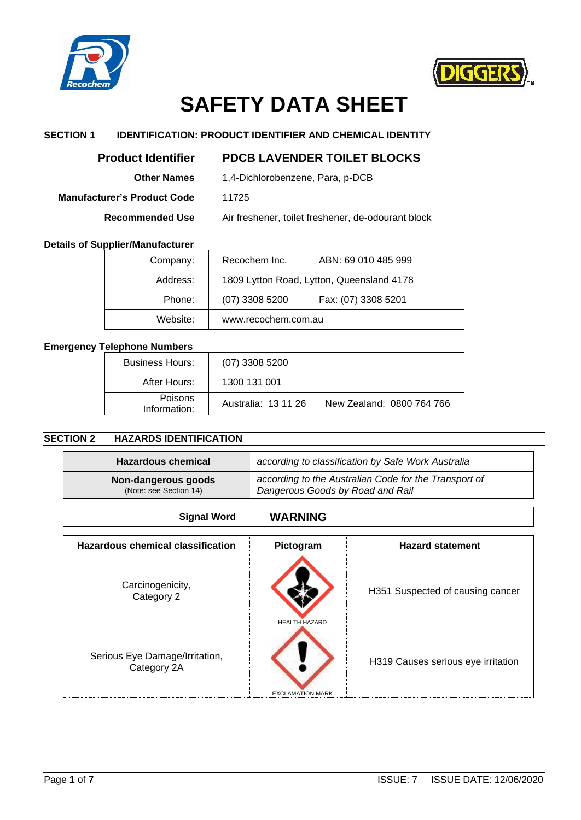



# **SAFETY DATA SHEET**

# **SECTION 1 IDENTIFICATION: PRODUCT IDENTIFIER AND CHEMICAL IDENTITY**

| <b>Product Identifier</b>   | <b>PDCB LAVENDER TOILET BLOCKS</b>                 |
|-----------------------------|----------------------------------------------------|
| <b>Other Names</b>          | 1,4-Dichlorobenzene, Para, p-DCB                   |
| Manufacturer's Product Code | 11725                                              |
| <b>Recommended Use</b>      | Air freshener, toilet freshener, de-odourant block |

#### **Details of Supplier/Manufacturer**

| Company: | Recochem Inc.<br>ABN: 69 010 485 999      |
|----------|-------------------------------------------|
| Address: | 1809 Lytton Road, Lytton, Queensland 4178 |
| Phone:   | Fax: (07) 3308 5201<br>$(07)$ 3308 5200   |
| Website: | www.recochem.com.au                       |

## **Emergency Telephone Numbers**

| <b>Business Hours:</b>  | $(07)$ 3308 5200    |                           |
|-------------------------|---------------------|---------------------------|
| After Hours:            | 1300 131 001        |                           |
| Poisons<br>Information: | Australia: 13 11 26 | New Zealand: 0800 764 766 |

# **SECTION 2 HAZARDS IDENTIFICATION**

| <b>Hazardous chemical</b>                     | according to classification by Safe Work Australia                                        |
|-----------------------------------------------|-------------------------------------------------------------------------------------------|
| Non-dangerous goods<br>(Note: see Section 14) | according to the Australian Code for the Transport of<br>Dangerous Goods by Road and Rail |
|                                               |                                                                                           |

| <b>WARNING</b><br><b>Signal Word</b>          |                         |                                    |
|-----------------------------------------------|-------------------------|------------------------------------|
| <b>Hazardous chemical classification</b>      | Pictogram               | <b>Hazard statement</b>            |
| Carcinogenicity,<br>Category 2                | <b>HEALTH HAZARD</b>    | H351 Suspected of causing cancer   |
| Serious Eye Damage/Irritation,<br>Category 2A | <b>EXCLAMATION MARK</b> | H319 Causes serious eye irritation |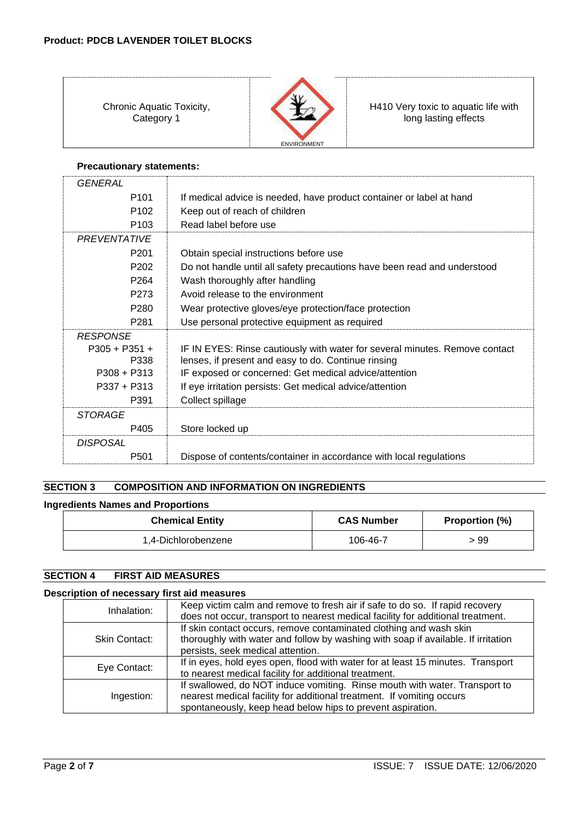Chronic Aquatic Toxicity, Category 1



H410 Very toxic to aquatic life with long lasting effects

# **Precautionary statements:**

| <b>GENERAL</b>   |                                                                             |
|------------------|-----------------------------------------------------------------------------|
| P <sub>101</sub> | If medical advice is needed, have product container or label at hand        |
| P <sub>102</sub> | Keep out of reach of children                                               |
| P <sub>103</sub> | Read label before use                                                       |
| PREVENTATIVE     |                                                                             |
| P <sub>201</sub> | Obtain special instructions before use                                      |
| P <sub>202</sub> | Do not handle until all safety precautions have been read and understood    |
| P <sub>264</sub> | Wash thoroughly after handling                                              |
| P <sub>273</sub> | Avoid release to the environment                                            |
| P <sub>280</sub> | Wear protective gloves/eye protection/face protection                       |
| P <sub>281</sub> | Use personal protective equipment as required                               |
| <b>RESPONSE</b>  |                                                                             |
| $P305 + P351 +$  | IF IN EYES: Rinse cautiously with water for several minutes. Remove contact |
| P338             | lenses, if present and easy to do. Continue rinsing                         |
| $P308 + P313$    | IF exposed or concerned: Get medical advice/attention                       |
| $P337 + P313$    | If eye irritation persists: Get medical advice/attention                    |
| P391             | Collect spillage                                                            |
| <b>STORAGE</b>   |                                                                             |
| P405             | Store locked up                                                             |
| <b>DISPOSAL</b>  |                                                                             |
| P501             | Dispose of contents/container in accordance with local regulations          |

# **SECTION 3 COMPOSITION AND INFORMATION ON INGREDIENTS**

## **Ingredients Names and Proportions**

| <b>Chemical Entity</b> | <b>CAS Number</b> | <b>Proportion (%)</b> |
|------------------------|-------------------|-----------------------|
| 1,4-Dichlorobenzene    | 106-46-7          | > 99                  |

# **SECTION 4 FIRST AID MEASURES**

## **Description of necessary first aid measures**

| Inhalation:   | Keep victim calm and remove to fresh air if safe to do so. If rapid recovery<br>does not occur, transport to nearest medical facility for additional treatment.                                                   |
|---------------|-------------------------------------------------------------------------------------------------------------------------------------------------------------------------------------------------------------------|
| Skin Contact: | If skin contact occurs, remove contaminated clothing and wash skin<br>thoroughly with water and follow by washing with soap if available. If irritation<br>persists, seek medical attention.                      |
| Eye Contact:  | If in eyes, hold eyes open, flood with water for at least 15 minutes. Transport<br>to nearest medical facility for additional treatment.                                                                          |
| Ingestion:    | If swallowed, do NOT induce vomiting. Rinse mouth with water. Transport to<br>nearest medical facility for additional treatment. If vomiting occurs<br>spontaneously, keep head below hips to prevent aspiration. |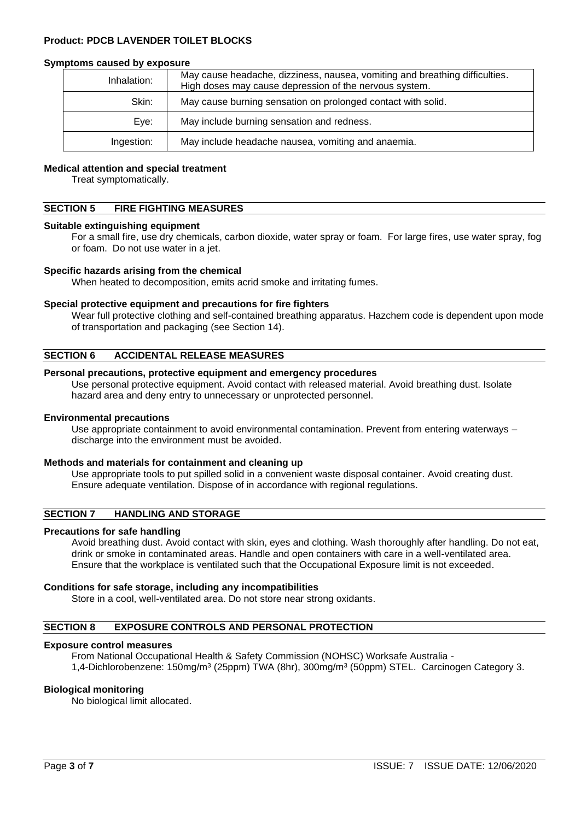#### **Symptoms caused by exposure**

| Inhalation: | May cause headache, dizziness, nausea, vomiting and breathing difficulties.<br>High doses may cause depression of the nervous system. |
|-------------|---------------------------------------------------------------------------------------------------------------------------------------|
| Skin:       | May cause burning sensation on prolonged contact with solid.                                                                          |
| Eye:        | May include burning sensation and redness.                                                                                            |
| Ingestion:  | May include headache nausea, vomiting and anaemia.                                                                                    |

#### **Medical attention and special treatment**

Treat symptomatically.

## **SECTION 5 FIRE FIGHTING MEASURES**

#### **Suitable extinguishing equipment**

For a small fire, use dry chemicals, carbon dioxide, water spray or foam. For large fires, use water spray, fog or foam. Do not use water in a jet.

#### **Specific hazards arising from the chemical**

When heated to decomposition, emits acrid smoke and irritating fumes.

## **Special protective equipment and precautions for fire fighters**

Wear full protective clothing and self-contained breathing apparatus. Hazchem code is dependent upon mode of transportation and packaging (see Section 14).

#### **SECTION 6 ACCIDENTAL RELEASE MEASURES**

#### **Personal precautions, protective equipment and emergency procedures**

Use personal protective equipment. Avoid contact with released material. Avoid breathing dust. Isolate hazard area and deny entry to unnecessary or unprotected personnel.

#### **Environmental precautions**

Use appropriate containment to avoid environmental contamination. Prevent from entering waterways – discharge into the environment must be avoided.

#### **Methods and materials for containment and cleaning up**

Use appropriate tools to put spilled solid in a convenient waste disposal container. Avoid creating dust. Ensure adequate ventilation. Dispose of in accordance with regional regulations.

## **SECTION 7 HANDLING AND STORAGE**

#### **Precautions for safe handling**

Avoid breathing dust. Avoid contact with skin, eyes and clothing. Wash thoroughly after handling. Do not eat, drink or smoke in contaminated areas. Handle and open containers with care in a well-ventilated area. Ensure that the workplace is ventilated such that the Occupational Exposure limit is not exceeded.

#### **Conditions for safe storage, including any incompatibilities**

Store in a cool, well-ventilated area. Do not store near strong oxidants.

## **SECTION 8 EXPOSURE CONTROLS AND PERSONAL PROTECTION**

#### **Exposure control measures**

From National Occupational Health & Safety Commission (NOHSC) Worksafe Australia - 1,4-Dichlorobenzene: 150mg/m<sup>3</sup> (25ppm) TWA (8hr), 300mg/m<sup>3</sup> (50ppm) STEL. Carcinogen Category 3.

#### **Biological monitoring**

No biological limit allocated.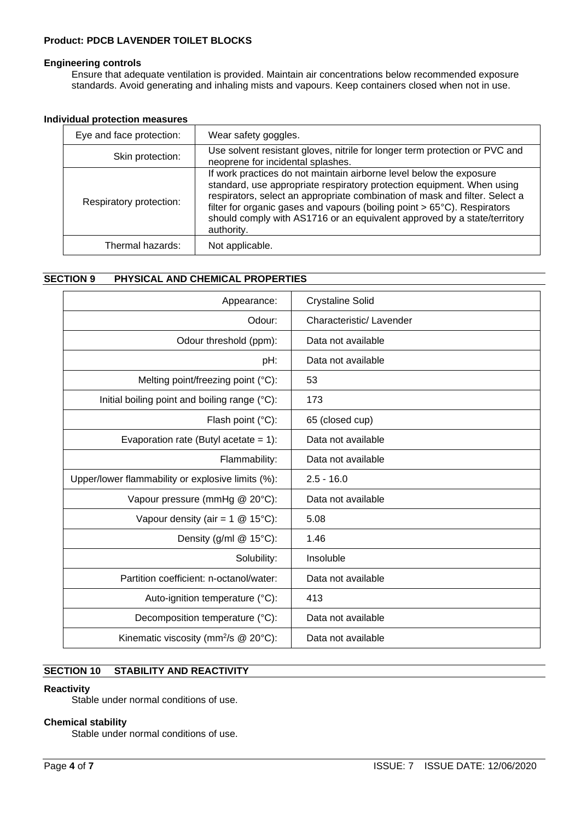#### **Engineering controls**

Ensure that adequate ventilation is provided. Maintain air concentrations below recommended exposure standards. Avoid generating and inhaling mists and vapours. Keep containers closed when not in use.

| Individual protection measures |
|--------------------------------|
|--------------------------------|

| Eye and face protection: | Wear safety goggles.                                                                                                                                                                                                                                                                                                                                                                               |
|--------------------------|----------------------------------------------------------------------------------------------------------------------------------------------------------------------------------------------------------------------------------------------------------------------------------------------------------------------------------------------------------------------------------------------------|
| Skin protection:         | Use solvent resistant gloves, nitrile for longer term protection or PVC and<br>neoprene for incidental splashes.                                                                                                                                                                                                                                                                                   |
| Respiratory protection:  | If work practices do not maintain airborne level below the exposure<br>standard, use appropriate respiratory protection equipment. When using<br>respirators, select an appropriate combination of mask and filter. Select a<br>filter for organic gases and vapours (boiling point > 65°C). Respirators<br>should comply with AS1716 or an equivalent approved by a state/territory<br>authority. |
| Thermal hazards:         | Not applicable.                                                                                                                                                                                                                                                                                                                                                                                    |

## **SECTION 9 PHYSICAL AND CHEMICAL PROPERTIES**

| Appearance:                                       | <b>Crystaline Solid</b> |
|---------------------------------------------------|-------------------------|
| Odour:                                            | Characteristic/Lavender |
| Odour threshold (ppm):                            | Data not available      |
| pH:                                               | Data not available      |
| Melting point/freezing point $(°C)$ :             | 53                      |
| Initial boiling point and boiling range (°C):     | 173                     |
| Flash point (°C):                                 | 65 (closed cup)         |
| Evaporation rate (Butyl acetate = $1$ ):          | Data not available      |
| Flammability:                                     | Data not available      |
| Upper/lower flammability or explosive limits (%): | $2.5 - 16.0$            |
| Vapour pressure (mmHg @ 20°C):                    | Data not available      |
| Vapour density (air = $1 \text{ } @$ 15°C):       | 5.08                    |
| Density (g/ml @ 15°C):                            | 1.46                    |
| Solubility:                                       | Insoluble               |
| Partition coefficient: n-octanol/water:           | Data not available      |
| Auto-ignition temperature (°C):                   | 413                     |
| Decomposition temperature (°C):                   | Data not available      |
| Kinematic viscosity (mm <sup>2</sup> /s @ 20°C):  | Data not available      |

## **SECTION 10 STABILITY AND REACTIVITY**

## **Reactivity**

Stable under normal conditions of use.

## **Chemical stability**

Stable under normal conditions of use.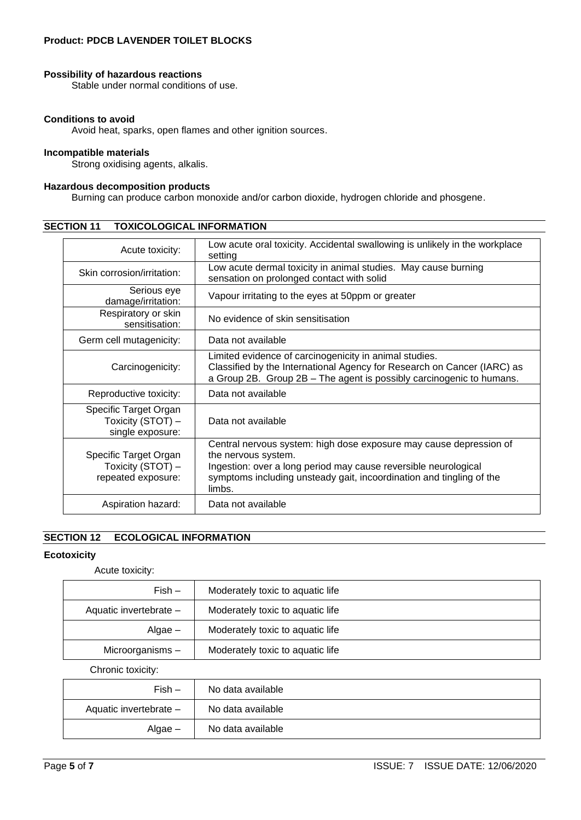#### **Possibility of hazardous reactions**

Stable under normal conditions of use.

#### **Conditions to avoid**

Avoid heat, sparks, open flames and other ignition sources.

#### **Incompatible materials**

Strong oxidising agents, alkalis.

## **Hazardous decomposition products**

Burning can produce carbon monoxide and/or carbon dioxide, hydrogen chloride and phosgene.

| Acute toxicity:                                                  | Low acute oral toxicity. Accidental swallowing is unlikely in the workplace<br>setting                                                                                                                                                         |  |
|------------------------------------------------------------------|------------------------------------------------------------------------------------------------------------------------------------------------------------------------------------------------------------------------------------------------|--|
| Skin corrosion/irritation:                                       | Low acute dermal toxicity in animal studies. May cause burning<br>sensation on prolonged contact with solid                                                                                                                                    |  |
| Serious eye<br>damage/irritation:                                | Vapour irritating to the eyes at 50ppm or greater                                                                                                                                                                                              |  |
| Respiratory or skin<br>sensitisation:                            | No evidence of skin sensitisation                                                                                                                                                                                                              |  |
| Germ cell mutagenicity:                                          | Data not available                                                                                                                                                                                                                             |  |
| Carcinogenicity:                                                 | Limited evidence of carcinogenicity in animal studies.<br>Classified by the International Agency for Research on Cancer (IARC) as<br>a Group 2B. Group 2B - The agent is possibly carcinogenic to humans.                                      |  |
| Reproductive toxicity:                                           | Data not available                                                                                                                                                                                                                             |  |
| Specific Target Organ<br>Toxicity (STOT) -<br>single exposure:   | Data not available                                                                                                                                                                                                                             |  |
| Specific Target Organ<br>Toxicity (STOT) -<br>repeated exposure: | Central nervous system: high dose exposure may cause depression of<br>the nervous system.<br>Ingestion: over a long period may cause reversible neurological<br>symptoms including unsteady gait, incoordination and tingling of the<br>limbs. |  |
| Aspiration hazard:                                               | Data not available                                                                                                                                                                                                                             |  |

## **SECTION 11 TOXICOLOGICAL INFORMATION**

# **SECTION 12 ECOLOGICAL INFORMATION**

#### **Ecotoxicity**

Acute toxicity:

| $Fish -$               | Moderately toxic to aquatic life |
|------------------------|----------------------------------|
| Aquatic invertebrate - | Moderately toxic to aquatic life |
| Algae –                | Moderately toxic to aquatic life |
| Microorganisms-        | Moderately toxic to aquatic life |
| Chronic toxicity:      |                                  |

| $Fish -$               | No data available |
|------------------------|-------------------|
| Aquatic invertebrate - | No data available |
| $\text{Algae}$ –       | No data available |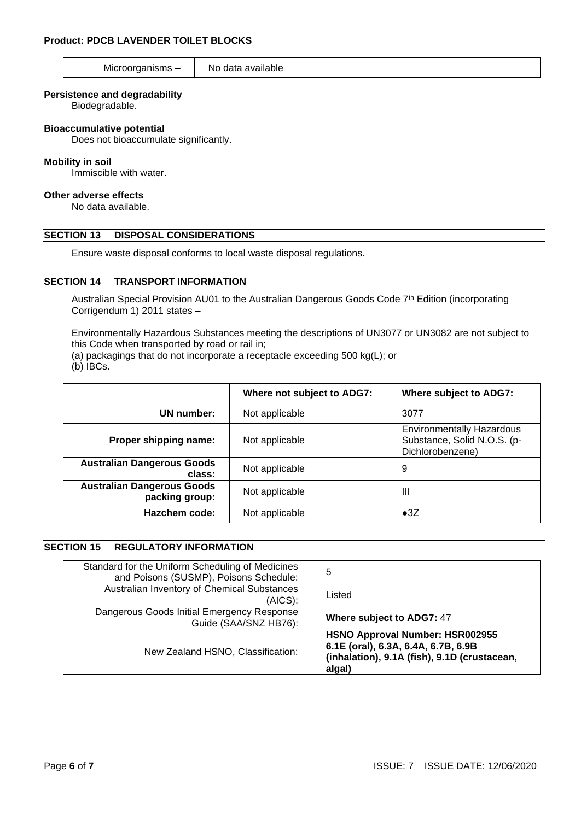## Microorganisms  $-$  No data available

#### **Persistence and degradability**

Biodegradable.

#### **Bioaccumulative potential**

Does not bioaccumulate significantly.

#### **Mobility in soil**

Immiscible with water.

#### **Other adverse effects**

No data available.

## **SECTION 13 DISPOSAL CONSIDERATIONS**

Ensure waste disposal conforms to local waste disposal regulations.

#### **SECTION 14 TRANSPORT INFORMATION**

Australian Special Provision AU01 to the Australian Dangerous Goods Code 7<sup>th</sup> Edition (incorporating Corrigendum 1) 2011 states –

Environmentally Hazardous Substances meeting the descriptions of UN3077 or UN3082 are not subject to this Code when transported by road or rail in;

(a) packagings that do not incorporate a receptacle exceeding 500 kg(L); or

(b) IBCs.

|                                                     | Where not subject to ADG7: | <b>Where subject to ADG7:</b>                                                       |
|-----------------------------------------------------|----------------------------|-------------------------------------------------------------------------------------|
| UN number:                                          | Not applicable             | 3077                                                                                |
| Proper shipping name:                               | Not applicable             | <b>Environmentally Hazardous</b><br>Substance, Solid N.O.S. (p-<br>Dichlorobenzene) |
| <b>Australian Dangerous Goods</b><br>class:         | Not applicable             | 9                                                                                   |
| <b>Australian Dangerous Goods</b><br>packing group: | Not applicable             | Ш                                                                                   |
| Hazchem code:                                       | Not applicable             | $\bullet 3Z$                                                                        |

## **SECTION 15 REGULATORY INFORMATION**

| Standard for the Uniform Scheduling of Medicines<br>and Poisons (SUSMP), Poisons Schedule: | 5                                                                                                                                |
|--------------------------------------------------------------------------------------------|----------------------------------------------------------------------------------------------------------------------------------|
| Australian Inventory of Chemical Substances<br>$(AICS)$ :                                  | Listed                                                                                                                           |
| Dangerous Goods Initial Emergency Response<br>Guide (SAA/SNZ HB76):                        | Where subject to ADG7: 47                                                                                                        |
| New Zealand HSNO, Classification:                                                          | HSNO Approval Number: HSR002955<br>6.1E (oral), 6.3A, 6.4A, 6.7B, 6.9B<br>(inhalation), 9.1A (fish), 9.1D (crustacean,<br>algal) |